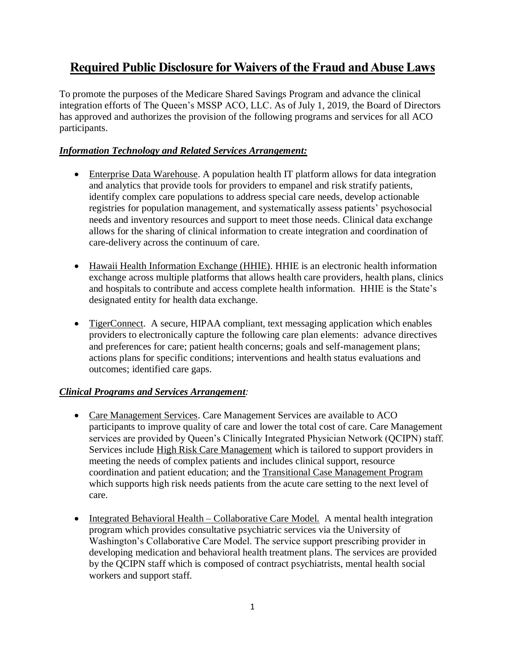## **Required Public Disclosure for Waivers of the Fraud and Abuse Laws**

To promote the purposes of the Medicare Shared Savings Program and advance the clinical integration efforts of The Queen's MSSP ACO, LLC. As of July 1, 2019, the Board of Directors has approved and authorizes the provision of the following programs and services for all ACO participants.

## *Information Technology and Related Services Arrangement:*

- Enterprise Data Warehouse. A population health IT platform allows for data integration and analytics that provide tools for providers to empanel and risk stratify patients, identify complex care populations to address special care needs, develop actionable registries for population management, and systematically assess patients' psychosocial needs and inventory resources and support to meet those needs. Clinical data exchange allows for the sharing of clinical information to create integration and coordination of care-delivery across the continuum of care.
- Hawaii Health Information Exchange (HHIE). HHIE is an electronic health information exchange across multiple platforms that allows health care providers, health plans, clinics and hospitals to contribute and access complete health information. HHIE is the State's designated entity for health data exchange.
- TigerConnect. A secure, HIPAA compliant, text messaging application which enables providers to electronically capture the following care plan elements: advance directives and preferences for care; patient health concerns; goals and self-management plans; actions plans for specific conditions; interventions and health status evaluations and outcomes; identified care gaps.

## *Clinical Programs and Services Arrangement:*

- Care Management Services. Care Management Services are available to ACO participants to improve quality of care and lower the total cost of care. Care Management services are provided by Queen's Clinically Integrated Physician Network (QCIPN) staff. Services include High Risk Care Management which is tailored to support providers in meeting the needs of complex patients and includes clinical support, resource coordination and patient education; and the Transitional Case Management Program which supports high risk needs patients from the acute care setting to the next level of care.
- Integrated Behavioral Health Collaborative Care Model. A mental health integration program which provides consultative psychiatric services via the University of Washington's Collaborative Care Model. The service support prescribing provider in developing medication and behavioral health treatment plans. The services are provided by the QCIPN staff which is composed of contract psychiatrists, mental health social workers and support staff.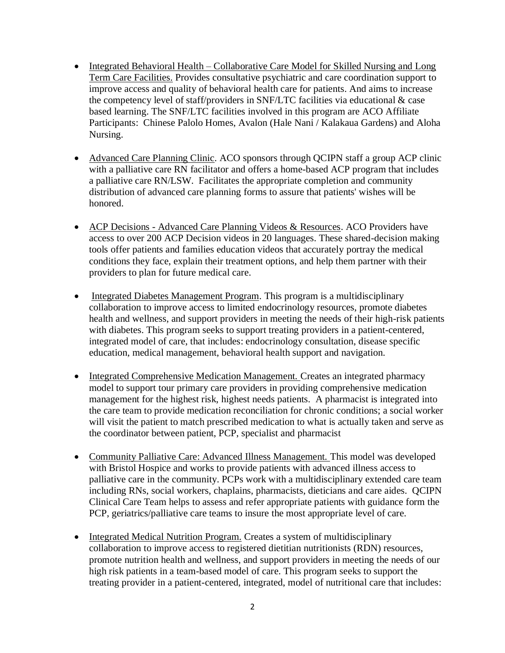- Integrated Behavioral Health Collaborative Care Model for Skilled Nursing and Long Term Care Facilities. Provides consultative psychiatric and care coordination support to improve access and quality of behavioral health care for patients. And aims to increase the competency level of staff/providers in SNF/LTC facilities via educational & case based learning. The SNF/LTC facilities involved in this program are ACO Affiliate Participants: Chinese Palolo Homes, Avalon (Hale Nani / Kalakaua Gardens) and Aloha Nursing.
- Advanced Care Planning Clinic. ACO sponsors through QCIPN staff a group ACP clinic with a palliative care RN facilitator and offers a home-based ACP program that includes a palliative care RN/LSW. Facilitates the appropriate completion and community distribution of advanced care planning forms to assure that patients' wishes will be honored.
- ACP Decisions Advanced Care Planning Videos & Resources. ACO Providers have access to over 200 ACP Decision videos in 20 languages. These shared-decision making tools offer patients and families education videos that accurately portray the medical conditions they face, explain their treatment options, and help them partner with their providers to plan for future medical care.
- Integrated Diabetes Management Program. This program is a multidisciplinary collaboration to improve access to limited endocrinology resources, promote diabetes health and wellness, and support providers in meeting the needs of their high-risk patients with diabetes. This program seeks to support treating providers in a patient-centered, integrated model of care, that includes: endocrinology consultation, disease specific education, medical management, behavioral health support and navigation.
- Integrated Comprehensive Medication Management. Creates an integrated pharmacy model to support tour primary care providers in providing comprehensive medication management for the highest risk, highest needs patients. A pharmacist is integrated into the care team to provide medication reconciliation for chronic conditions; a social worker will visit the patient to match prescribed medication to what is actually taken and serve as the coordinator between patient, PCP, specialist and pharmacist
- Community Palliative Care: Advanced Illness Management. This model was developed with Bristol Hospice and works to provide patients with advanced illness access to palliative care in the community. PCPs work with a multidisciplinary extended care team including RNs, social workers, chaplains, pharmacists, dieticians and care aides. QCIPN Clinical Care Team helps to assess and refer appropriate patients with guidance form the PCP, geriatrics/palliative care teams to insure the most appropriate level of care.
- Integrated Medical Nutrition Program. Creates a system of multidisciplinary collaboration to improve access to registered dietitian nutritionists (RDN) resources, promote nutrition health and wellness, and support providers in meeting the needs of our high risk patients in a team-based model of care. This program seeks to support the treating provider in a patient-centered, integrated, model of nutritional care that includes: